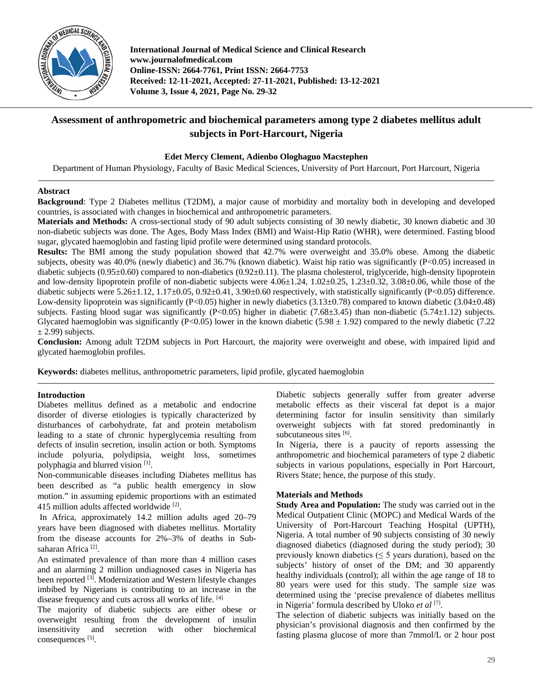

**International Journal of Medical Science and Clinical Research www.journalofmedical.com Online-ISSN: 2664-7761, Print ISSN: 2664-7753 Received: 12-11-2021, Accepted: 27-11-2021, Published: 13-12-2021 Volume 3, Issue 4, 2021, Page No. 29-32**

# **Assessment of anthropometric and biochemical parameters among type 2 diabetes mellitus adult subjects in Port-Harcourt, Nigeria**

# **Edet Mercy Clement, Adienbo Ologhaguo Macstephen**

Department of Human Physiology, Faculty of Basic Medical Sciences, University of Port Harcourt, Port Harcourt, Nigeria

## **Abstract**

**Background**: Type 2 Diabetes mellitus (T2DM), a major cause of morbidity and mortality both in developing and developed countries, is associated with changes in biochemical and anthropometric parameters.

**Materials and Methods:** A cross-sectional study of 90 adult subjects consisting of 30 newly diabetic, 30 known diabetic and 30 non-diabetic subjects was done. The Ages, Body Mass Index (BMI) and Waist-Hip Ratio (WHR), were determined. Fasting blood sugar, glycated haemoglobin and fasting lipid profile were determined using standard protocols.

**Results:** The BMI among the study population showed that 42.7% were overweight and 35.0% obese. Among the diabetic subjects, obesity was 40.0% (newly diabetic) and 36.7% (known diabetic). Waist hip ratio was significantly (P<0.05) increased in diabetic subjects (0.95±0.60) compared to non-diabetics (0.92±0.11). The plasma cholesterol, triglyceride, high-density lipoprotein and low-density lipoprotein profile of non-diabetic subjects were  $4.06\pm1.24$ ,  $1.02\pm0.25$ ,  $1.23\pm0.32$ ,  $3.08\pm0.06$ , while those of the diabetic subjects were  $5.26\pm1.12$ ,  $1.17\pm0.05$ ,  $0.92\pm0.41$ ,  $3.90\pm0.60$  respectively, with statistically significantly (P<0.05) difference. Low-density lipoprotein was significantly (P<0.05) higher in newly diabetics (3.13±0.78) compared to known diabetic (3.04±0.48) subjects. Fasting blood sugar was significantly (P<0.05) higher in diabetic (7.68 $\pm$ 3.45) than non-diabetic (5.74 $\pm$ 1.12) subjects. Glycated haemoglobin was significantly (P<0.05) lower in the known diabetic (5.98  $\pm$  1.92) compared to the newly diabetic (7.22)  $\pm$  2.99) subjects.

**Conclusion:** Among adult T2DM subjects in Port Harcourt, the majority were overweight and obese, with impaired lipid and glycated haemoglobin profiles.

**Keywords:** diabetes mellitus, anthropometric parameters, lipid profile, glycated haemoglobin

## **Introduction**

Diabetes mellitus defined as a metabolic and endocrine disorder of diverse etiologies is typically characterized by disturbances of carbohydrate, fat and protein metabolism leading to a state of chronic hyperglycemia resulting from defects of insulin secretion, insulin action or both. Symptoms include polyuria, polydipsia, weight loss, sometimes polyphagia and blurred vision [1].

Non-communicable diseases including Diabetes mellitus has been described as "a public health emergency in slow motion." in assuming epidemic proportions with an estimated 415 million adults affected worldwide<sup>[2]</sup>.

In Africa, approximately 14.2 million adults aged 20–79 years have been diagnosed with diabetes mellitus. Mortality from the disease accounts for 2%–3% of deaths in Subsaharan Africa<sup>[2]</sup>.

An estimated prevalence of than more than 4 million cases and an alarming 2 million undiagnosed cases in Nigeria has been reported <a>[3]</a>. Modernization and Western lifestyle changes imbibed by Nigerians is contributing to an increase in the disease frequency and cuts across all works of life. [4]

The majority of diabetic subjects are either obese or overweight resulting from the development of insulin insensitivity and secretion with other biochemical consequences [5].

Diabetic subjects generally suffer from greater adverse metabolic effects as their visceral fat depot is a major determining factor for insulin sensitivity than similarly overweight subjects with fat stored predominantly in subcutaneous sites [6].

In Nigeria, there is a paucity of reports assessing the anthropometric and biochemical parameters of type 2 diabetic subjects in various populations, especially in Port Harcourt, Rivers State; hence, the purpose of this study.

## **Materials and Methods**

**Study Area and Population:** The study was carried out in the Medical Outpatient Clinic (MOPC) and Medical Wards of the University of Port-Harcourt Teaching Hospital (UPTH), Nigeria. A total number of 90 subjects consisting of 30 newly diagnosed diabetics (diagnosed during the study period); 30 previously known diabetics ( $\leq$  5 years duration), based on the subjects' history of onset of the DM; and 30 apparently healthy individuals (control); all within the age range of 18 to 80 years were used for this study. The sample size was determined using the 'precise prevalence of diabetes mellitus in Nigeria' formula described by Uloko *et al* [7] .

The selection of diabetic subjects was initially based on the physician's provisional diagnosis and then confirmed by the fasting plasma glucose of more than 7mmol/L or 2 hour post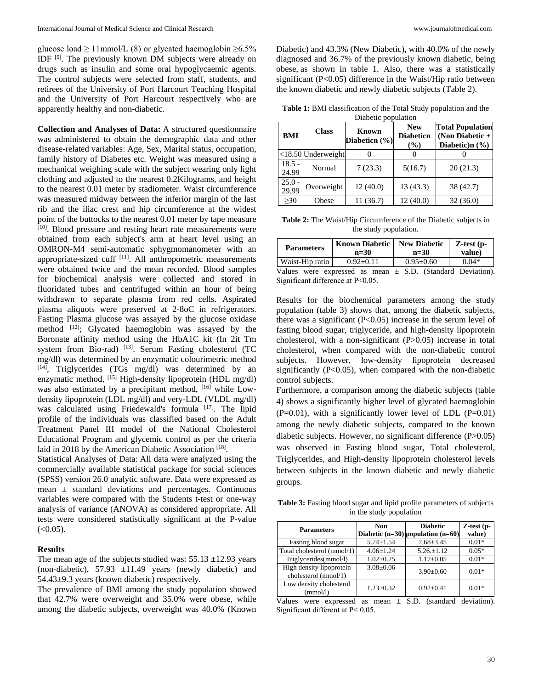glucose load  $\geq 11$ mmol/L (8) or glycated haemoglobin  $\geq 6.5\%$ IDF<sup>[9]</sup>. The previously known DM subjects were already on drugs such as insulin and some oral hypoglycaemic agents. The control subjects were selected from staff, students, and retirees of the University of Port Harcourt Teaching Hospital and the University of Port Harcourt respectively who are apparently healthy and non-diabetic.

**Collection and Analyses of Data:** A structured questionnaire was administered to obtain the demographic data and other disease-related variables: Age, Sex, Marital status, occupation, family history of Diabetes etc. Weight was measured using a mechanical weighing scale with the subject wearing only light clothing and adjusted to the nearest 0.2Kilograms, and height to the nearest 0.01 meter by stadiometer. Waist circumference was measured midway between the inferior margin of the last rib and the iliac crest and hip circumference at the widest point of the buttocks to the nearest 0.01 meter by tape measure [10]. Blood pressure and resting heart rate measurements were obtained from each subject's arm at heart level using an OMRON-M4 semi-automatic sphygmomanometer with an appropriate-sized cuff [11]. All anthropometric measurements were obtained twice and the mean recorded. Blood samples for biochemical analysis were collected and stored in fluoridated tubes and centrifuged within an hour of being withdrawn to separate plasma from red cells. Aspirated plasma aliquots were preserved at 2-8oC in refrigerators. Fasting Plasma glucose was assayed by the glucose oxidase method <sup>[12]</sup>; Glycated haemoglobin was assayed by the Boronate affinity method using the HbA1C kit (In 2it Tm system from Bio-rad) [13]. Serum Fasting cholesterol (TC mg/dl) was determined by an enzymatic colourimetric method [14] , Triglycerides (TGs mg/dl) was determined by an enzymatic method, [15] High-density lipoprotein (HDL mg/dl) was also estimated by a precipitant method, <sup>[16]</sup> while Lowdensity lipoprotein (LDL mg/dl) and very-LDL (VLDL mg/dl) was calculated using Friedewald's formula [17]. The lipid profile of the individuals was classified based on the Adult Treatment Panel III model of the National Cholesterol Educational Program and glycemic control as per the criteria laid in 2018 by the American Diabetic Association<sup>[18]</sup>.

Statistical Analyses of Data: All data were analyzed using the commercially available statistical package for social sciences (SPSS) version 26.0 analytic software. Data were expressed as mean  $\pm$  standard deviations and percentages. Continuous variables were compared with the Students t-test or one-way analysis of variance (ANOVA) as considered appropriate. All tests were considered statistically significant at the P-value  $(<0.05)$ .

#### **Results**

The mean age of the subjects studied was:  $55.13 \pm 12.93$  years (non-diabetic),  $57.93 \pm 11.49$  years (newly diabetic) and 54.43±9.3 years (known diabetic) respectively.

The prevalence of BMI among the study population showed that 42.7% were overweight and 35.0% were obese, while among the diabetic subjects, overweight was 40.0% (Known Diabetic) and 43.3% (New Diabetic), with 40.0% of the newly diagnosed and 36.7% of the previously known diabetic, being obese, as shown in table 1. Also, there was a statistically significant (P<0.05) difference in the Waist/Hip ratio between the known diabetic and newly diabetic subjects (Table 2).

**Table 1:** BMI classification of the Total Study population and the Diabetic population

| <b>BMI</b>        | <b>Class</b>          | <b>Known</b><br>Diabeticn (%) | <b>New</b><br><b>Diabeticn</b><br>$\frac{6}{6}$ | <b>Total Population</b><br>(Non Diabetic $+$<br>Diabetic)n (%) |
|-------------------|-----------------------|-------------------------------|-------------------------------------------------|----------------------------------------------------------------|
|                   | $<$ 18.50 Underweight |                               |                                                 |                                                                |
| $18.5 -$<br>24.99 | Normal                | 7(23.3)                       | 5(16.7)                                         | 20(21.3)                                                       |
| $25.0 -$<br>29.99 | Overweight            | 12(40.0)                      | 13 (43.3)                                       | 38 (42.7)                                                      |
| $\geq 30$         | Obese                 | 11 (36.7)                     | 12(40.0)                                        | 32(36.0)                                                       |

**Table 2:** The Waist/Hip Circumference of the Diabetic subjects in the study population.

| <b>Parameters</b> | <b>Known Diabetic</b><br>$n=30$                                | <b>New Diabetic</b><br>$n=30$ | $Z-test (p -$<br>value) |
|-------------------|----------------------------------------------------------------|-------------------------------|-------------------------|
| Waist-Hip ratio   | $0.92+0.11$                                                    | $0.95+0.60$                   | $0.04*$                 |
|                   | Values were expressed as mean $\pm$ S.D. (Standard Deviation). |                               |                         |

Significant difference at P˂0.05.

Results for the biochemical parameters among the study population (table 3) shows that, among the diabetic subjects, there was a significant (P<0.05) increase in the serum level of fasting blood sugar, triglyceride, and high-density lipoprotein cholesterol, with a non-significant (P>0.05) increase in total cholesterol, when compared with the non-diabetic control subjects. However, low-density lipoprotein decreased significantly  $(P<0.05)$ , when compared with the non-diabetic control subjects.

Furthermore, a comparison among the diabetic subjects (table 4) shows a significantly higher level of glycated haemoglobin  $(P=0.01)$ , with a significantly lower level of LDL  $(P=0.01)$ among the newly diabetic subjects, compared to the known diabetic subjects. However, no significant difference (P>0.05) was observed in Fasting blood sugar, Total cholesterol, Triglycerides, and High-density lipoprotein cholesterol levels between subjects in the known diabetic and newly diabetic groups.

Table 3: Fasting blood sugar and lipid profile parameters of subjects in the study population

| <b>Parameters</b>                                | <b>Non</b>      | <b>Diabetic</b><br>Diabetic $(n=30)$ population $(n=60)$ | $Z-test(p -$<br>value) |
|--------------------------------------------------|-----------------|----------------------------------------------------------|------------------------|
| Fasting blood sugar                              | $5.74 \pm 1.54$ | $7.68 \pm 3.45$                                          | $0.01*$                |
| Total cholesterol (mmol/1)                       | $4.06 \pm 1.24$ | $5.26.+1.12$                                             | $0.05*$                |
| Triglycerides(mmol/l)                            | $1.02 \pm 0.25$ | $1.17 \pm 0.05$                                          | $0.01*$                |
| High density lipoprotein<br>cholesterol (mmol/1) | $3.08 \pm 0.06$ | $3.90 \pm 0.60$                                          | $0.01*$                |
| Low density cholesterol<br>(mmol/l)              | $1.23 + 0.32$   | $0.92 \pm 0.41$                                          | $0.01*$                |

Values were expressed as mean  $\pm$  S.D. (standard deviation). Significant different at P˂ 0.05.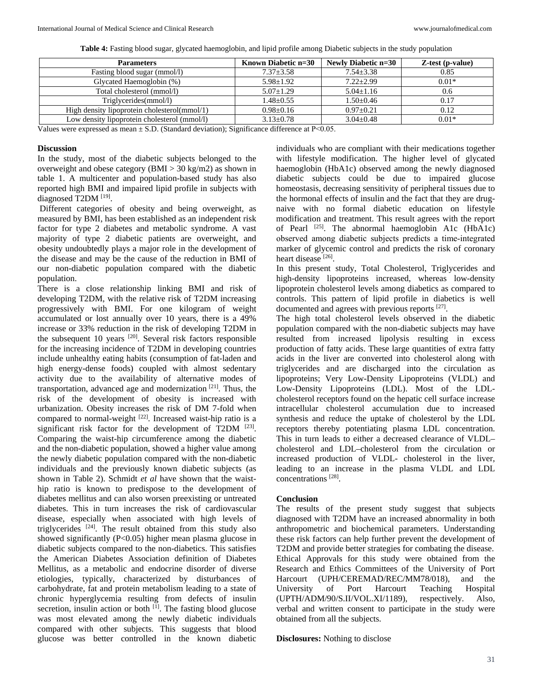| <b>Parameters</b>                            | Known Diabetic n=30 | Newly Diabetic n=30 | Z-test (p-value) |
|----------------------------------------------|---------------------|---------------------|------------------|
| Fasting blood sugar (mmol/l)                 | $7.37 \pm 3.58$     | $7.54 \pm 3.38$     | 0.85             |
| Glycated Haemoglobin (%)                     | $5.98 \pm 1.92$     | $7.22 + 2.99$       | $0.01*$          |
| Total cholesterol (mmol/l)                   | $5.07 + 1.29$       | $5.04 + 1.16$       | 0.6              |
| Triglycerides(mmol/l)                        | $1.48 + 0.55$       | $1.50 \pm 0.46$     | 0.17             |
| High density lipoprotein cholesterol(mmol/1) | $0.98 + 0.16$       | $0.97+0.21$         | 0.12             |
| Low density lipoprotein cholesterol (mmol/l) | $3.13 \pm 0.78$     | $3.04 + 0.48$       | $0.01*$          |
|                                              |                     |                     |                  |

**Table 4:** Fasting blood sugar, glycated haemoglobin, and lipid profile among Diabetic subjects in the study population

Values were expressed as mean  $\pm$  S.D. (Standard deviation); Significance difference at P<0.05.

#### **Discussion**

In the study, most of the diabetic subjects belonged to the overweight and obese category (BMI > 30 kg/m2) as shown in table 1. A multicenter and population-based study has also reported high BMI and impaired lipid profile in subjects with diagnosed T2DM [19].

Different categories of obesity and being overweight, as measured by BMI, has been established as an independent risk factor for type 2 diabetes and metabolic syndrome. A vast majority of type 2 diabetic patients are overweight, and obesity undoubtedly plays a major role in the development of the disease and may be the cause of the reduction in BMI of our non-diabetic population compared with the diabetic population.

There is a close relationship linking BMI and risk of developing T2DM, with the relative risk of T2DM increasing progressively with BMI. For one kilogram of weight accumulated or lost annually over 10 years, there is a 49% increase or 33% reduction in the risk of developing T2DM in the subsequent 10 years  $[20]$ . Several risk factors responsible for the increasing incidence of T2DM in developing countries include unhealthy eating habits (consumption of fat-laden and high energy-dense foods) coupled with almost sedentary activity due to the availability of alternative modes of transportation, advanced age and modernization<sup>[21]</sup>. Thus, the risk of the development of obesity is increased with urbanization. Obesity increases the risk of DM 7-fold when compared to normal-weight <a>[22]</a>. Increased waist-hip ratio is a significant risk factor for the development of T2DM  $^{[23]}$ . Comparing the waist-hip circumference among the diabetic and the non-diabetic population, showed a higher value among the newly diabetic population compared with the non-diabetic individuals and the previously known diabetic subjects (as shown in Table 2). Schmidt *et al* have shown that the waisthip ratio is known to predispose to the development of diabetes mellitus and can also worsen preexisting or untreated diabetes. This in turn increases the risk of cardiovascular disease, especially when associated with high levels of triglycerides [24] . The result obtained from this study also showed significantly (P<0.05) higher mean plasma glucose in diabetic subjects compared to the non-diabetics. This satisfies the American Diabetes Association definition of Diabetes Mellitus, as a metabolic and endocrine disorder of diverse etiologies, typically, characterized by disturbances of carbohydrate, fat and protein metabolism leading to a state of chronic hyperglycemia resulting from defects of insulin secretion, insulin action or both <sup>[1]</sup>. The fasting blood glucose was most elevated among the newly diabetic individuals compared with other subjects. This suggests that blood glucose was better controlled in the known diabetic

individuals who are compliant with their medications together with lifestyle modification. The higher level of glycated haemoglobin (HbA1c) observed among the newly diagnosed diabetic subjects could be due to impaired glucose homeostasis, decreasing sensitivity of peripheral tissues due to the hormonal effects of insulin and the fact that they are drugnaive with no formal diabetic education on lifestyle modification and treatment. This result agrees with the report of Pearl  $^{[25]}$ . The abnormal haemoglobin A1c (HbA1c) observed among diabetic subjects predicts a time‐integrated marker of glycemic control and predicts the risk of coronary heart disease [26].

In this present study, Total Cholesterol, Triglycerides and high-density lipoproteins increased, whereas low-density lipoprotein cholesterol levels among diabetics as compared to controls. This pattern of lipid profile in diabetics is well documented and agrees with previous reports <sup>[27]</sup>.

The high total cholesterol levels observed in the diabetic population compared with the non-diabetic subjects may have resulted from increased lipolysis resulting in excess production of fatty acids. These large quantities of extra fatty acids in the liver are converted into cholesterol along with triglycerides and are discharged into the circulation as lipoproteins; Very Low-Density Lipoproteins (VLDL) and Low-Density Lipoproteins (LDL). Most of the LDLcholesterol receptors found on the hepatic cell surface increase intracellular cholesterol accumulation due to increased synthesis and reduce the uptake of cholesterol by the LDL receptors thereby potentiating plasma LDL concentration. This in turn leads to either a decreased clearance of VLDL– cholesterol and LDL–cholesterol from the circulation or increased production of VLDL- cholesterol in the liver, leading to an increase in the plasma VLDL and LDL concentrations [28] .

## **Conclusion**

The results of the present study suggest that subjects diagnosed with T2DM have an increased abnormality in both anthropometric and biochemical parameters. Understanding these risk factors can help further prevent the development of T2DM and provide better strategies for combating the disease. Ethical Approvals for this study were obtained from the Research and Ethics Committees of the University of Port Harcourt (UPH/CEREMAD/REC/MM78/018), and the University of Port Harcourt Teaching Hospital (UPTH/ADM/90/S.II/VOL.XI/1189), respectively. Also, verbal and written consent to participate in the study were obtained from all the subjects.

**Disclosures:** Nothing to disclose